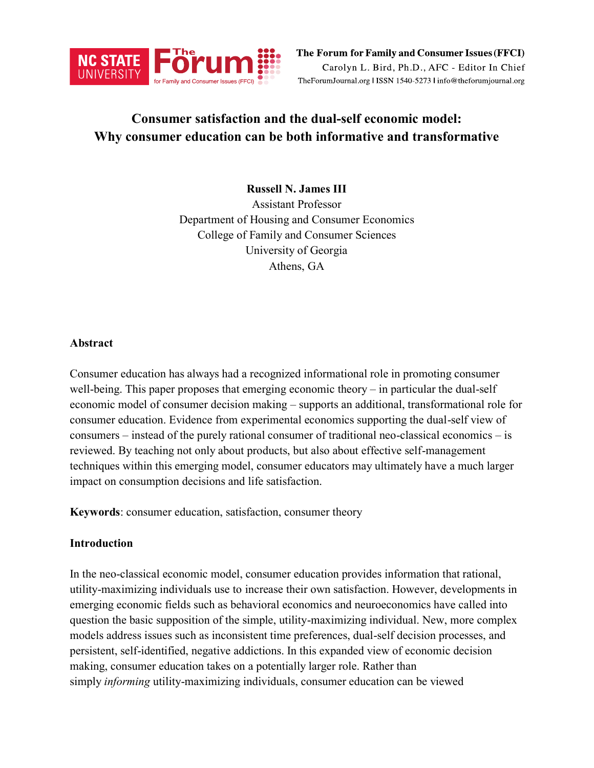

# **Consumer satisfaction and the dual-self economic model: Why consumer education can be both informative and transformative**

**Russell N. James III** Assistant Professor Department of Housing and Consumer Economics College of Family and Consumer Sciences University of Georgia Athens, GA

### **Abstract**

Consumer education has always had a recognized informational role in promoting consumer well-being. This paper proposes that emerging economic theory – in particular the dual-self economic model of consumer decision making – supports an additional, transformational role for consumer education. Evidence from experimental economics supporting the dual-self view of consumers – instead of the purely rational consumer of traditional neo-classical economics – is reviewed. By teaching not only about products, but also about effective self-management techniques within this emerging model, consumer educators may ultimately have a much larger impact on consumption decisions and life satisfaction.

**Keywords**: consumer education, satisfaction, consumer theory

# **Introduction**

In the neo-classical economic model, consumer education provides information that rational, utility-maximizing individuals use to increase their own satisfaction. However, developments in emerging economic fields such as behavioral economics and neuroeconomics have called into question the basic supposition of the simple, utility-maximizing individual. New, more complex models address issues such as inconsistent time preferences, dual-self decision processes, and persistent, self-identified, negative addictions. In this expanded view of economic decision making, consumer education takes on a potentially larger role. Rather than simply *informing* utility-maximizing individuals, consumer education can be viewed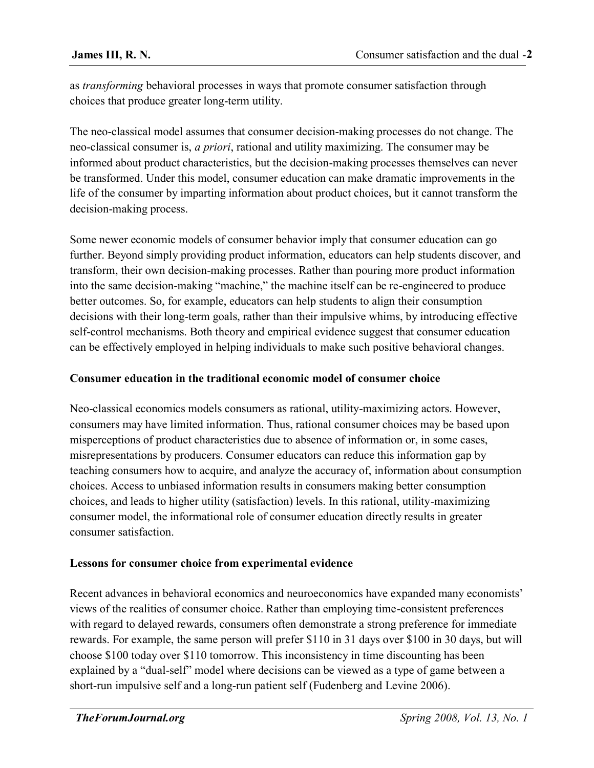as *transforming* behavioral processes in ways that promote consumer satisfaction through choices that produce greater long-term utility.

The neo-classical model assumes that consumer decision-making processes do not change. The neo-classical consumer is, *a priori*, rational and utility maximizing. The consumer may be informed about product characteristics, but the decision-making processes themselves can never be transformed. Under this model, consumer education can make dramatic improvements in the life of the consumer by imparting information about product choices, but it cannot transform the decision-making process.

Some newer economic models of consumer behavior imply that consumer education can go further. Beyond simply providing product information, educators can help students discover, and transform, their own decision-making processes. Rather than pouring more product information into the same decision-making "machine," the machine itself can be re-engineered to produce better outcomes. So, for example, educators can help students to align their consumption decisions with their long-term goals, rather than their impulsive whims, by introducing effective self-control mechanisms. Both theory and empirical evidence suggest that consumer education can be effectively employed in helping individuals to make such positive behavioral changes.

# **Consumer education in the traditional economic model of consumer choice**

Neo-classical economics models consumers as rational, utility-maximizing actors. However, consumers may have limited information. Thus, rational consumer choices may be based upon misperceptions of product characteristics due to absence of information or, in some cases, misrepresentations by producers. Consumer educators can reduce this information gap by teaching consumers how to acquire, and analyze the accuracy of, information about consumption choices. Access to unbiased information results in consumers making better consumption choices, and leads to higher utility (satisfaction) levels. In this rational, utility-maximizing consumer model, the informational role of consumer education directly results in greater consumer satisfaction.

# **Lessons for consumer choice from experimental evidence**

Recent advances in behavioral economics and neuroeconomics have expanded many economists' views of the realities of consumer choice. Rather than employing time-consistent preferences with regard to delayed rewards, consumers often demonstrate a strong preference for immediate rewards. For example, the same person will prefer \$110 in 31 days over \$100 in 30 days, but will choose \$100 today over \$110 tomorrow. This inconsistency in time discounting has been explained by a "dual-self" model where decisions can be viewed as a type of game between a short-run impulsive self and a long-run patient self (Fudenberg and Levine 2006).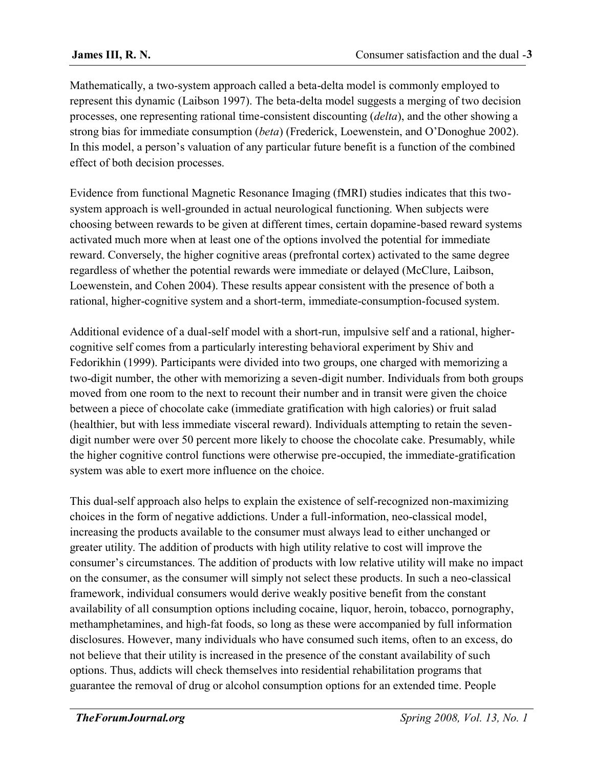Mathematically, a two-system approach called a beta-delta model is commonly employed to represent this dynamic (Laibson 1997). The beta-delta model suggests a merging of two decision processes, one representing rational time-consistent discounting (*delta*), and the other showing a strong bias for immediate consumption (*beta*) (Frederick, Loewenstein, and O'Donoghue 2002). In this model, a person's valuation of any particular future benefit is a function of the combined effect of both decision processes.

Evidence from functional Magnetic Resonance Imaging (fMRI) studies indicates that this twosystem approach is well-grounded in actual neurological functioning. When subjects were choosing between rewards to be given at different times, certain dopamine-based reward systems activated much more when at least one of the options involved the potential for immediate reward. Conversely, the higher cognitive areas (prefrontal cortex) activated to the same degree regardless of whether the potential rewards were immediate or delayed (McClure, Laibson, Loewenstein, and Cohen 2004). These results appear consistent with the presence of both a rational, higher-cognitive system and a short-term, immediate-consumption-focused system.

Additional evidence of a dual-self model with a short-run, impulsive self and a rational, highercognitive self comes from a particularly interesting behavioral experiment by Shiv and Fedorikhin (1999). Participants were divided into two groups, one charged with memorizing a two-digit number, the other with memorizing a seven-digit number. Individuals from both groups moved from one room to the next to recount their number and in transit were given the choice between a piece of chocolate cake (immediate gratification with high calories) or fruit salad (healthier, but with less immediate visceral reward). Individuals attempting to retain the sevendigit number were over 50 percent more likely to choose the chocolate cake. Presumably, while the higher cognitive control functions were otherwise pre-occupied, the immediate-gratification system was able to exert more influence on the choice.

This dual-self approach also helps to explain the existence of self-recognized non-maximizing choices in the form of negative addictions. Under a full-information, neo-classical model, increasing the products available to the consumer must always lead to either unchanged or greater utility. The addition of products with high utility relative to cost will improve the consumer's circumstances. The addition of products with low relative utility will make no impact on the consumer, as the consumer will simply not select these products. In such a neo-classical framework, individual consumers would derive weakly positive benefit from the constant availability of all consumption options including cocaine, liquor, heroin, tobacco, pornography, methamphetamines, and high-fat foods, so long as these were accompanied by full information disclosures. However, many individuals who have consumed such items, often to an excess, do not believe that their utility is increased in the presence of the constant availability of such options. Thus, addicts will check themselves into residential rehabilitation programs that guarantee the removal of drug or alcohol consumption options for an extended time. People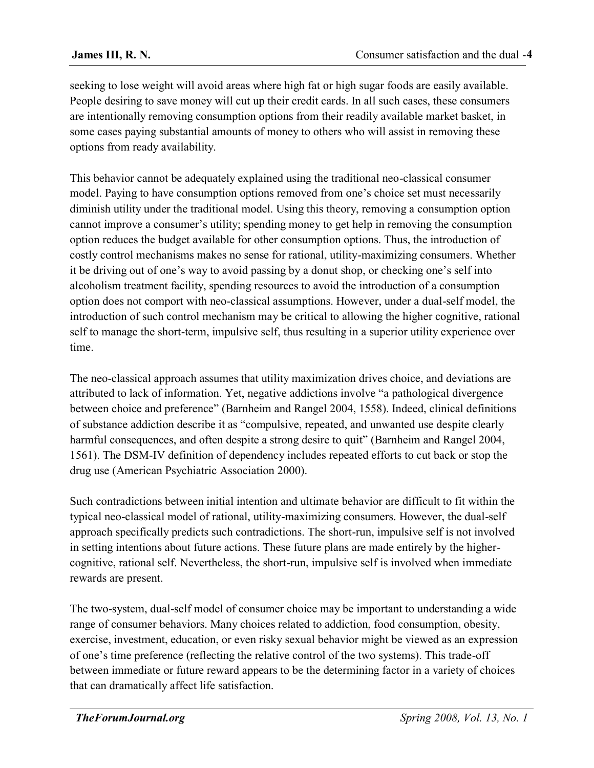seeking to lose weight will avoid areas where high fat or high sugar foods are easily available. People desiring to save money will cut up their credit cards. In all such cases, these consumers are intentionally removing consumption options from their readily available market basket, in some cases paying substantial amounts of money to others who will assist in removing these options from ready availability.

This behavior cannot be adequately explained using the traditional neo-classical consumer model. Paying to have consumption options removed from one's choice set must necessarily diminish utility under the traditional model. Using this theory, removing a consumption option cannot improve a consumer's utility; spending money to get help in removing the consumption option reduces the budget available for other consumption options. Thus, the introduction of costly control mechanisms makes no sense for rational, utility-maximizing consumers. Whether it be driving out of one's way to avoid passing by a donut shop, or checking one's self into alcoholism treatment facility, spending resources to avoid the introduction of a consumption option does not comport with neo-classical assumptions. However, under a dual-self model, the introduction of such control mechanism may be critical to allowing the higher cognitive, rational self to manage the short-term, impulsive self, thus resulting in a superior utility experience over time.

The neo-classical approach assumes that utility maximization drives choice, and deviations are attributed to lack of information. Yet, negative addictions involve "a pathological divergence between choice and preference" (Barnheim and Rangel 2004, 1558). Indeed, clinical definitions of substance addiction describe it as "compulsive, repeated, and unwanted use despite clearly harmful consequences, and often despite a strong desire to quit" (Barnheim and Rangel 2004, 1561). The DSM-IV definition of dependency includes repeated efforts to cut back or stop the drug use (American Psychiatric Association 2000).

Such contradictions between initial intention and ultimate behavior are difficult to fit within the typical neo-classical model of rational, utility-maximizing consumers. However, the dual-self approach specifically predicts such contradictions. The short-run, impulsive self is not involved in setting intentions about future actions. These future plans are made entirely by the highercognitive, rational self. Nevertheless, the short-run, impulsive self is involved when immediate rewards are present.

The two-system, dual-self model of consumer choice may be important to understanding a wide range of consumer behaviors. Many choices related to addiction, food consumption, obesity, exercise, investment, education, or even risky sexual behavior might be viewed as an expression of one's time preference (reflecting the relative control of the two systems). This trade-off between immediate or future reward appears to be the determining factor in a variety of choices that can dramatically affect life satisfaction.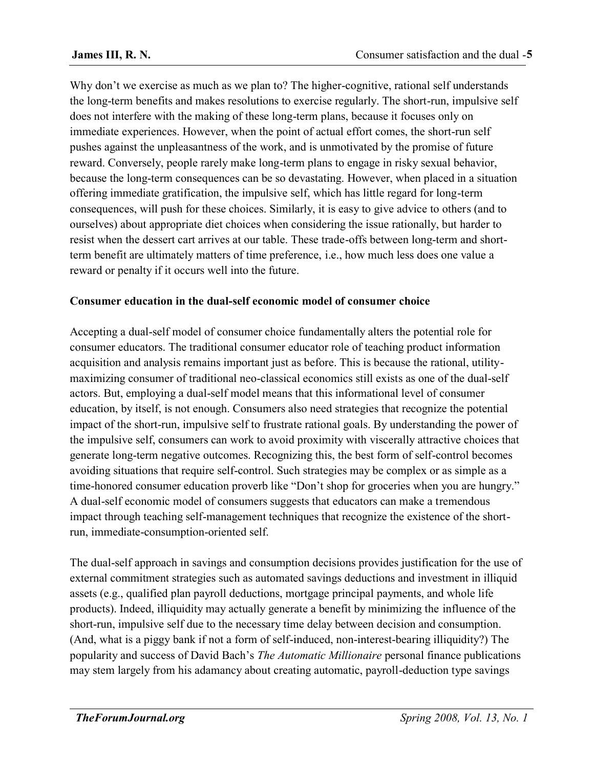Why don't we exercise as much as we plan to? The higher-cognitive, rational self understands the long-term benefits and makes resolutions to exercise regularly. The short-run, impulsive self does not interfere with the making of these long-term plans, because it focuses only on immediate experiences. However, when the point of actual effort comes, the short-run self pushes against the unpleasantness of the work, and is unmotivated by the promise of future reward. Conversely, people rarely make long-term plans to engage in risky sexual behavior, because the long-term consequences can be so devastating. However, when placed in a situation offering immediate gratification, the impulsive self, which has little regard for long-term consequences, will push for these choices. Similarly, it is easy to give advice to others (and to ourselves) about appropriate diet choices when considering the issue rationally, but harder to resist when the dessert cart arrives at our table. These trade-offs between long-term and shortterm benefit are ultimately matters of time preference, i.e., how much less does one value a reward or penalty if it occurs well into the future.

# **Consumer education in the dual-self economic model of consumer choice**

Accepting a dual-self model of consumer choice fundamentally alters the potential role for consumer educators. The traditional consumer educator role of teaching product information acquisition and analysis remains important just as before. This is because the rational, utilitymaximizing consumer of traditional neo-classical economics still exists as one of the dual-self actors. But, employing a dual-self model means that this informational level of consumer education, by itself, is not enough. Consumers also need strategies that recognize the potential impact of the short-run, impulsive self to frustrate rational goals. By understanding the power of the impulsive self, consumers can work to avoid proximity with viscerally attractive choices that generate long-term negative outcomes. Recognizing this, the best form of self-control becomes avoiding situations that require self-control. Such strategies may be complex or as simple as a time-honored consumer education proverb like "Don't shop for groceries when you are hungry." A dual-self economic model of consumers suggests that educators can make a tremendous impact through teaching self-management techniques that recognize the existence of the shortrun, immediate-consumption-oriented self.

The dual-self approach in savings and consumption decisions provides justification for the use of external commitment strategies such as automated savings deductions and investment in illiquid assets (e.g., qualified plan payroll deductions, mortgage principal payments, and whole life products). Indeed, illiquidity may actually generate a benefit by minimizing the influence of the short-run, impulsive self due to the necessary time delay between decision and consumption. (And, what is a piggy bank if not a form of self-induced, non-interest-bearing illiquidity?) The popularity and success of David Bach's *The Automatic Millionaire* personal finance publications may stem largely from his adamancy about creating automatic, payroll-deduction type savings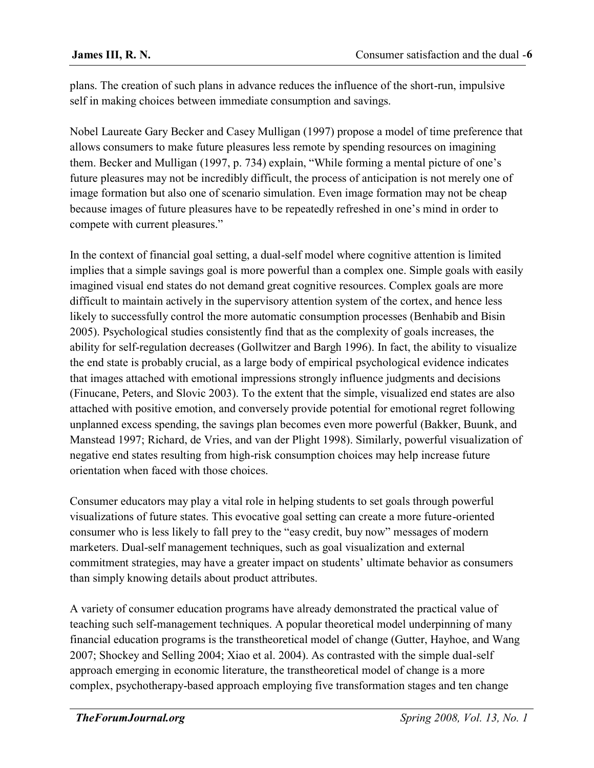plans. The creation of such plans in advance reduces the influence of the short-run, impulsive self in making choices between immediate consumption and savings.

Nobel Laureate Gary Becker and Casey Mulligan (1997) propose a model of time preference that allows consumers to make future pleasures less remote by spending resources on imagining them. Becker and Mulligan (1997, p. 734) explain, "While forming a mental picture of one's future pleasures may not be incredibly difficult, the process of anticipation is not merely one of image formation but also one of scenario simulation. Even image formation may not be cheap because images of future pleasures have to be repeatedly refreshed in one's mind in order to compete with current pleasures."

In the context of financial goal setting, a dual-self model where cognitive attention is limited implies that a simple savings goal is more powerful than a complex one. Simple goals with easily imagined visual end states do not demand great cognitive resources. Complex goals are more difficult to maintain actively in the supervisory attention system of the cortex, and hence less likely to successfully control the more automatic consumption processes (Benhabib and Bisin 2005). Psychological studies consistently find that as the complexity of goals increases, the ability for self-regulation decreases (Gollwitzer and Bargh 1996). In fact, the ability to visualize the end state is probably crucial, as a large body of empirical psychological evidence indicates that images attached with emotional impressions strongly influence judgments and decisions (Finucane, Peters, and Slovic 2003). To the extent that the simple, visualized end states are also attached with positive emotion, and conversely provide potential for emotional regret following unplanned excess spending, the savings plan becomes even more powerful (Bakker, Buunk, and Manstead 1997; Richard, de Vries, and van der Plight 1998). Similarly, powerful visualization of negative end states resulting from high-risk consumption choices may help increase future orientation when faced with those choices.

Consumer educators may play a vital role in helping students to set goals through powerful visualizations of future states. This evocative goal setting can create a more future-oriented consumer who is less likely to fall prey to the "easy credit, buy now" messages of modern marketers. Dual-self management techniques, such as goal visualization and external commitment strategies, may have a greater impact on students' ultimate behavior as consumers than simply knowing details about product attributes.

A variety of consumer education programs have already demonstrated the practical value of teaching such self-management techniques. A popular theoretical model underpinning of many financial education programs is the transtheoretical model of change (Gutter, Hayhoe, and Wang 2007; Shockey and Selling 2004; Xiao et al. 2004). As contrasted with the simple dual-self approach emerging in economic literature, the transtheoretical model of change is a more complex, psychotherapy-based approach employing five transformation stages and ten change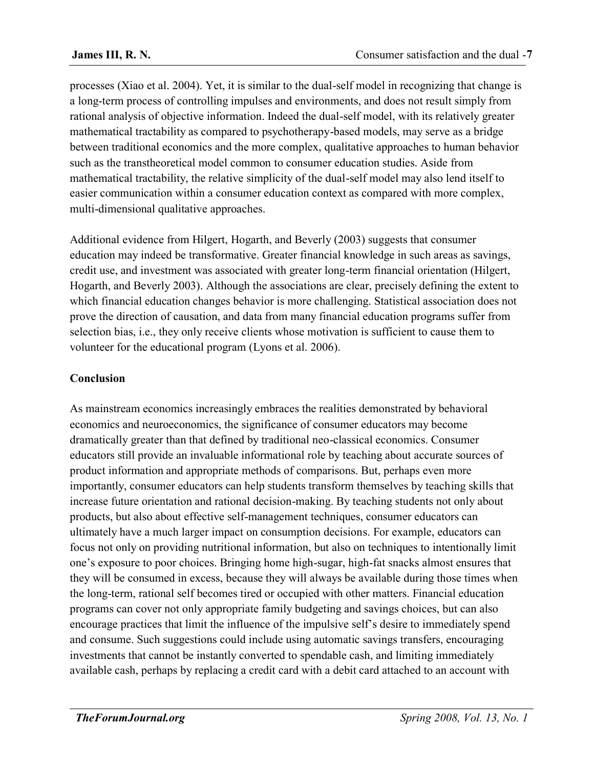processes (Xiao et al. 2004). Yet, it is similar to the dual-self model in recognizing that change is a long-term process of controlling impulses and environments, and does not result simply from rational analysis of objective information. Indeed the dual-self model, with its relatively greater mathematical tractability as compared to psychotherapy-based models, may serve as a bridge between traditional economics and the more complex, qualitative approaches to human behavior such as the transtheoretical model common to consumer education studies. Aside from mathematical tractability, the relative simplicity of the dual-self model may also lend itself to easier communication within a consumer education context as compared with more complex, multi-dimensional qualitative approaches.

Additional evidence from Hilgert, Hogarth, and Beverly (2003) suggests that consumer education may indeed be transformative. Greater financial knowledge in such areas as savings, credit use, and investment was associated with greater long-term financial orientation (Hilgert, Hogarth, and Beverly 2003). Although the associations are clear, precisely defining the extent to which financial education changes behavior is more challenging. Statistical association does not prove the direction of causation, and data from many financial education programs suffer from selection bias, i.e., they only receive clients whose motivation is sufficient to cause them to volunteer for the educational program (Lyons et al. 2006).

# **Conclusion**

As mainstream economics increasingly embraces the realities demonstrated by behavioral economics and neuroeconomics, the significance of consumer educators may become dramatically greater than that defined by traditional neo-classical economics. Consumer educators still provide an invaluable informational role by teaching about accurate sources of product information and appropriate methods of comparisons. But, perhaps even more importantly, consumer educators can help students transform themselves by teaching skills that increase future orientation and rational decision-making. By teaching students not only about products, but also about effective self-management techniques, consumer educators can ultimately have a much larger impact on consumption decisions. For example, educators can focus not only on providing nutritional information, but also on techniques to intentionally limit one's exposure to poor choices. Bringing home high-sugar, high-fat snacks almost ensures that they will be consumed in excess, because they will always be available during those times when the long-term, rational self becomes tired or occupied with other matters. Financial education programs can cover not only appropriate family budgeting and savings choices, but can also encourage practices that limit the influence of the impulsive self's desire to immediately spend and consume. Such suggestions could include using automatic savings transfers, encouraging investments that cannot be instantly converted to spendable cash, and limiting immediately available cash, perhaps by replacing a credit card with a debit card attached to an account with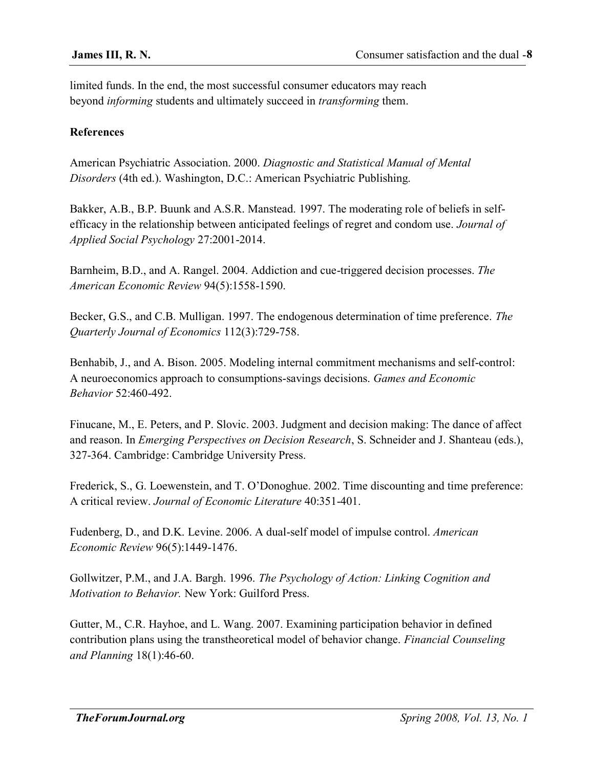limited funds. In the end, the most successful consumer educators may reach beyond *informing* students and ultimately succeed in *transforming* them.

### **References**

American Psychiatric Association. 2000. *Diagnostic and Statistical Manual of Mental Disorders* (4th ed.). Washington, D.C.: American Psychiatric Publishing.

Bakker, A.B., B.P. Buunk and A.S.R. Manstead. 1997. The moderating role of beliefs in selfefficacy in the relationship between anticipated feelings of regret and condom use. *Journal of Applied Social Psychology* 27:2001-2014.

Barnheim, B.D., and A. Rangel. 2004. Addiction and cue-triggered decision processes. *The American Economic Review* 94(5):1558-1590.

Becker, G.S., and C.B. Mulligan. 1997. The endogenous determination of time preference. *The Quarterly Journal of Economics* 112(3):729-758.

Benhabib, J., and A. Bison. 2005. Modeling internal commitment mechanisms and self-control: A neuroeconomics approach to consumptions-savings decisions. *Games and Economic Behavior* 52:460-492.

Finucane, M., E. Peters, and P. Slovic. 2003. Judgment and decision making: The dance of affect and reason. In *Emerging Perspectives on Decision Research*, S. Schneider and J. Shanteau (eds.), 327-364. Cambridge: Cambridge University Press.

Frederick, S., G. Loewenstein, and T. O'Donoghue. 2002. Time discounting and time preference: A critical review. *Journal of Economic Literature* 40:351-401.

Fudenberg, D., and D.K. Levine. 2006. A dual-self model of impulse control. *American Economic Review* 96(5):1449-1476.

Gollwitzer, P.M., and J.A. Bargh. 1996. *The Psychology of Action: Linking Cognition and Motivation to Behavior.* New York: Guilford Press.

Gutter, M., C.R. Hayhoe, and L. Wang. 2007. Examining participation behavior in defined contribution plans using the transtheoretical model of behavior change. *Financial Counseling and Planning* 18(1):46-60.